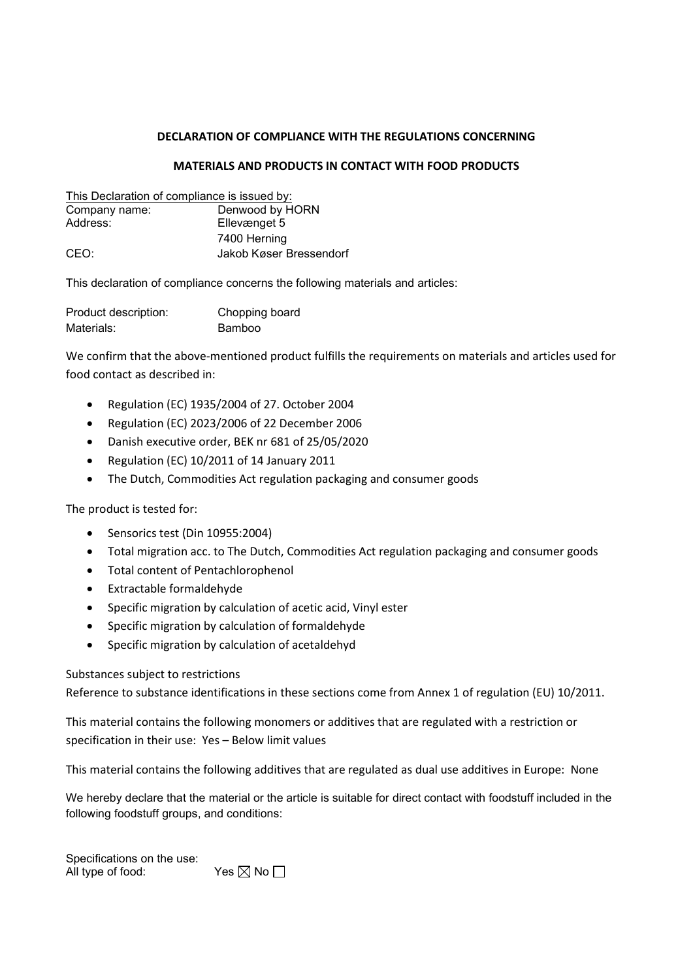## DECLARATION OF COMPLIANCE WITH THE REGULATIONS CONCERNING

## MATERIALS AND PRODUCTS IN CONTACT WITH FOOD PRODUCTS

| This Declaration of compliance is issued by: |                         |
|----------------------------------------------|-------------------------|
| Company name:                                | Denwood by HORN         |
| Address:                                     | Ellevænget 5            |
|                                              | 7400 Herning            |
| CEO:                                         | Jakob Køser Bressendorf |

This declaration of compliance concerns the following materials and articles:

| Product description: | Chopping board |
|----------------------|----------------|
| Materials:           | Bamboo         |

We confirm that the above-mentioned product fulfills the requirements on materials and articles used for food contact as described in:

- Regulation (EC) 1935/2004 of 27. October 2004
- Regulation (EC) 2023/2006 of 22 December 2006
- Danish executive order, BEK nr 681 of 25/05/2020
- Regulation (EC) 10/2011 of 14 January 2011
- The Dutch, Commodities Act regulation packaging and consumer goods

The product is tested for:

- Sensorics test (Din 10955:2004)
- Total migration acc. to The Dutch, Commodities Act regulation packaging and consumer goods
- Total content of Pentachlorophenol
- Extractable formaldehyde
- Specific migration by calculation of acetic acid, Vinyl ester
- Specific migration by calculation of formaldehyde
- Specific migration by calculation of acetaldehyd

## Substances subject to restrictions

Reference to substance identifications in these sections come from Annex 1 of regulation (EU) 10/2011.

This material contains the following monomers or additives that are regulated with a restriction or specification in their use: Yes – Below limit values

This material contains the following additives that are regulated as dual use additives in Europe: None

We hereby declare that the material or the article is suitable for direct contact with foodstuff included in the following foodstuff groups, and conditions:

Specifications on the use: All type of food: Yes  $\boxtimes$  No  $\Box$